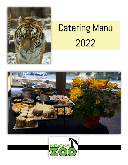

# Catering Menu 2022



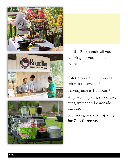



Let the Zoo handle all your catering for your special event.

Catering count due 2 weeks prior to the event \* Serving time is 1.5 hours \* All plates, napkins, silverware, cups, water and Lemonade included.

**300 max guests occupancy for Zoo Catering.**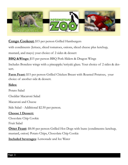

**Congo Cookout:** \$15 per person Grilled Hamburgers

with condiments (lettuce, sliced tomatoes, onions, sliced cheese plus ketchup,

mustard, and mayo) your choice of 2 sides & dessert

**BBQ &Wings:** \$15 per person BBQ Pork Sliders & Dragon Wings

Includes Boneless wings with a pineapple/teriyaki glaze. Yout choice of 2 sides & dessert.

**Farm Feast:** \$15 per person Grilled Chicken Breast with Roasted Potatoes, your choice of another side & dessert.

#### **Sides:**

Potato Salad

Cheddar Macaroni Salad

Macaroni and Cheese

Side Salad - Additional \$2.50 per person.

#### **Choose 1 Dessert:**

Chocolate Chip Cookie

Fruit Salad

**Otter Feast**: \$8.00 per person Grilled Hot Dogs with buns (condiments: ketchup, mustard, onion) Potato Chips, Chocolate Chip Cookie

**Included beverages**: Lemonade and Ice Water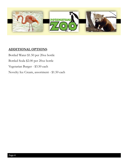

#### **ADDITIONAL OPTIONS**:

Bottled Water \$1.50 per 20oz bottle Bottled Soda \$2.00 per 20oz bottle Vegetarian Burger - \$3.50 each Novelty Ice Cream, assortment - \$1.50 each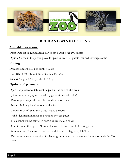

### **BEER AND WINE OPTIONS**

#### **Available Locations:**

Otter Outpost or Round Barn Bar (both bars if over 100 guests).

Option: Corral in the picnic grove for parties over 100 guests (canned beverages only)

#### **Pricing:**

Domestic Beer \$6.00 per drink ( 12oz)

Craft Beer \$7.00 (12 oz) per drink \$8.00 (16oz)

Wine & Sangria \$7.00 per drink ( 8oz)

#### **Options of payment:**

Open Bar(s) (alcohol tab must be paid at the end of the event)

By Consumption (payment made by guest at time of order)

- Bars stop serving half hour before the end of the event
- No alcohol may be taken out of the Zoo
- Servers may refuse to serve intoxicated persons
- Valid identification must be provided by each guest
- No alcohol will be served to guests under the age of 21
- Guests under the age of 21 are not allowed to enter alcohol serving areas
- Minimum of 50 guests. For service with less than 50 guests, \$50/hour

- Paid security may be required for larger groups when bars are open for events held after Zoo hours.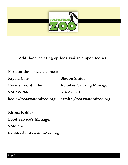

**Additional catering options available upon request.** 

**For questions please contact:** 

| <b>Krysta Cole</b>                     | <b>Sharon Smith</b>                  |
|----------------------------------------|--------------------------------------|
| <b>Events Coordinator</b>              | <b>Retail &amp; Catering Manager</b> |
| 574.235.7667                           | 574.235.5515                         |
| $kcole(\mathcal{Q})$ potawatomizoo.org | ssmith@potawatomizoo.org             |

**Kirbea Kohler Food Service's Manager 574-235-7669 kkohler@potawatomizoo.org**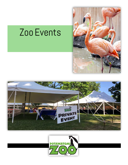# Zoo Events





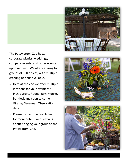



The Potawatomi Zoo hosts corporate picnics, weddings, company events, and other events upon request. We offer catering for groups of 300 or less, with multiple catering options available.

- Here at the Zoo we offer multiple locations for your event; the Picnic grove, Round Barn Monkey Bar deck and soon to come Giraffe/ Savannah Observation deck.
- Please contact the Events team for more details, or questions about bringing your group to the Potawatomi Zoo.